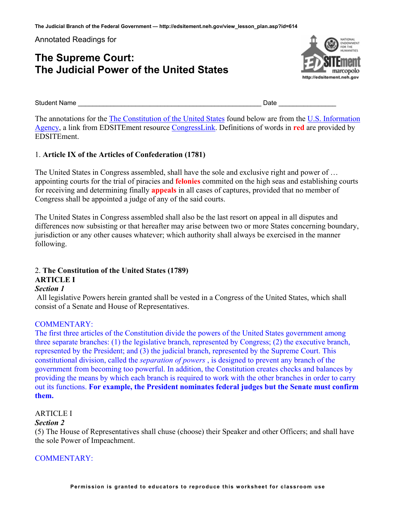**The Judicial Branch of the Federal Government — http://edsitement.neh.gov/view\_lesson\_plan.asp?id=614** 

Annotated Readings for

# **The Supreme Court: The Judicial Power of the United States**



Student Name **and Containing the Container of Containing Containing Containing Containing Containing Containing Containing Containing Containing Containing Containing Containing Containing Containing Containing Containing** 

The annotations for the [The Constitution of the United States](http://usinfo.state.gov/products/pubs/constitution/constitution.htm) found below are from the [U.S. Information](http://usinfo.state.gov/)  [Agency](http://usinfo.state.gov/), a link from EDSITEment resource [CongressLink](http://www.congresslink.org/). Definitions of words in **red** are provided by EDSITEment.

# 1. **Article IX of the Articles of Confederation (1781)**

The United States in Congress assembled, shall have the sole and exclusive right and power of … appointing courts for the trial of piracies and **felonies** commited on the high seas and establishing courts for receiving and determining finally **appeals** in all cases of captures, provided that no member of Congress shall be appointed a judge of any of the said courts.

The United States in Congress assembled shall also be the last resort on appeal in all disputes and differences now subsisting or that hereafter may arise between two or more States concerning boundary, jurisdiction or any other causes whatever; which authority shall always be exercised in the manner following.

# 2. **The Constitution of the United States (1789) ARTICLE I**

# *Section 1*

All legislative Powers herein granted shall be vested in a Congress of the United States, which shall consist of a Senate and House of Representatives.

# COMMENTARY:

The first three articles of the Constitution divide the powers of the United States government among three separate branches: (1) the legislative branch, represented by Congress; (2) the executive branch, represented by the President; and (3) the judicial branch, represented by the Supreme Court. This constitutional division, called the *separation of powers* , is designed to prevent any branch of the government from becoming too powerful. In addition, the Constitution creates checks and balances by providing the means by which each branch is required to work with the other branches in order to carry out its functions. **For example, the President nominates federal judges but the Senate must confirm them.** 

# ARTICLE I

# *Section 2*

(5) The House of Representatives shall chuse (choose) their Speaker and other Officers; and shall have the sole Power of Impeachment.

# COMMENTARY: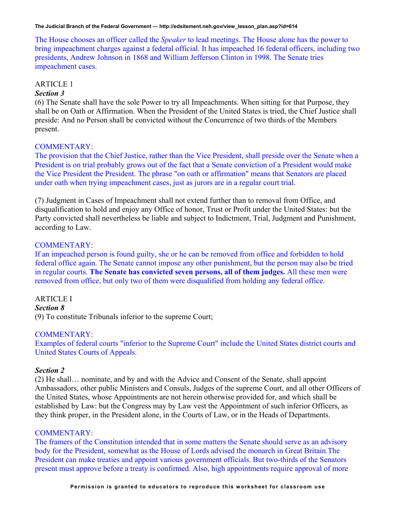The House chooses an officer called the *Speaker* to lead meetings. The House alone has the power to bring impeachment charges against a federal official. It has impeached 16 federal officers, including two presidents, Andrew Johnson in 1868 and William Jefferson Clinton in 1998. The Senate tries impeachment cases.

## ARTICLE 1

#### *Section 3*

(6) The Senate shall have the sole Power to try all Impeachments. When sitting for that Purpose, they shall be on Oath or Affirmation. When the President of the United States is tried, the Chief Justice shall preside: And no Person shall be convicted without the Concurrence of two thirds of the Members present.

## COMMENTARY:

The provision that the Chief Justice, rather than the Vice President, shall preside over the Senate when a President is on trial probably grows out of the fact that a Senate conviction of a President would make the Vice President the President. The phrase "on oath or affirmation" means that Senators are placed under oath when trying impeachment cases, just as jurors are in a regular court trial.

(7) Judgment in Cases of Impeachment shall not extend further than to removal from Office, and disqualification to hold and enjoy any Office of honor, Trust or Profit under the United States: but the Party convicted shall nevertheless be liable and subject to Indictment, Trial, Judgment and Punishment, according to Law.

#### COMMENTARY:

If an impeached person is found guilty, she or he can be removed from office and forbidden to hold federal office again. The Senate cannot impose any other punishment, but the person may also be tried in regular courts. **The Senate has convicted seven persons, all of them judges.** All these men were removed from office, but only two of them were disqualified from holding any federal office.

#### ARTICLE I

*Section 8*  (9) To constitute Tribunals inferior to the supreme Court;

#### COMMENTARY:

Examples of federal courts "inferior to the Supreme Court" include the United States district courts and United States Courts of Appeals.

# *Section 2*

(2) He shall… nominate, and by and with the Advice and Consent of the Senate, shall appoint Ambassadors, other public Ministers and Consuls, Judges of the supreme Court, and all other Officers of the United States, whose Appointments are not herein otherwise provided for, and which shall be established by Law: but the Congress may by Law vest the Appointment of such inferior Officers, as they think proper, in the President alone, in the Courts of Law, or in the Heads of Departments.

#### COMMENTARY:

The framers of the Constitution intended that in some matters the Senate should serve as an advisory body for the President, somewhat as the House of Lords advised the monarch in Great Britain.The President can make treaties and appoint various government officials. But two-thirds of the Senators present must approve before a treaty is confirmed. Also, high appointments require approval of more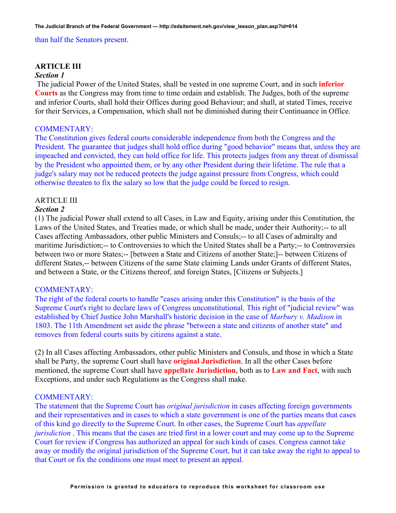#### than half the Senators present.

#### **ARTICLE III**

#### *Section 1*

The judicial Power of the United States, shall be vested in one supreme Court, and in such **inferior Courts** as the Congress may from time to time ordain and establish. The Judges, both of the supreme and inferior Courts, shall hold their Offices during good Behaviour; and shall, at stated Times, receive for their Services, a Compensation, which shall not be diminished during their Continuance in Office.

## COMMENTARY:

The Constitution gives federal courts considerable independence from both the Congress and the President. The guarantee that judges shall hold office during "good behavior" means that, unless they are impeached and convicted, they can hold office for life. This protects judges from any threat of dismissal by the President who appointed them, or by any other President during their lifetime. The rule that a judge's salary may not be reduced protects the judge against pressure from Congress, which could otherwise threaten to fix the salary so low that the judge could be forced to resign.

## ARTICLE III

#### *Section 2*

(1) The judicial Power shall extend to all Cases, in Law and Equity, arising under this Constitution, the Laws of the United States, and Treaties made, or which shall be made, under their Authority;-- to all Cases affecting Ambassadors, other public Ministers and Consuls;-- to all Cases of admiralty and maritime Jurisdiction;-- to Controversies to which the United States shall be a Party;-- to Controversies between two or more States;-- [between a State and Citizens of another State;]-- between Citizens of different States,-- between Citizens of the same State claiming Lands under Grants of different States, and between a State, or the Citizens thereof, and foreign States, [Citizens or Subjects.]

#### COMMENTARY:

The right of the federal courts to handle "cases arising under this Constitution" is the basis of the Supreme Court's right to declare laws of Congress unconstitutional. This right of "judicial review" was established by Chief Justice John Marshall's historic decision in the case of *Marbury v. Madison* in 1803. The 11th Amendment set aside the phrase "between a state and citizens of another state" and removes from federal courts suits by citizens against a state.

(2) In all Cases affecting Ambassadors, other public Ministers and Consuls, and those in which a State shall be Party, the supreme Court shall have **original Jurisdiction**. In all the other Cases before mentioned, the supreme Court shall have **appellate Jurisdiction**, both as to **Law and Fact**, with such Exceptions, and under such Regulations as the Congress shall make.

#### COMMENTARY:

The statement that the Supreme Court has *original jurisdiction* in cases affecting foreign governments and their representatives and in cases to which a state government is one of the parties means that cases of this kind go directly to the Supreme Court. In other cases, the Supreme Court has *appellate jurisdiction*. This means that the cases are tried first in a lower court and may come up to the Supreme Court for review if Congress has authorized an appeal for such kinds of cases. Congress cannot take away or modify the original jurisdiction of the Supreme Court, but it can take away the right to appeal to that Court or fix the conditions one must meet to present an appeal.